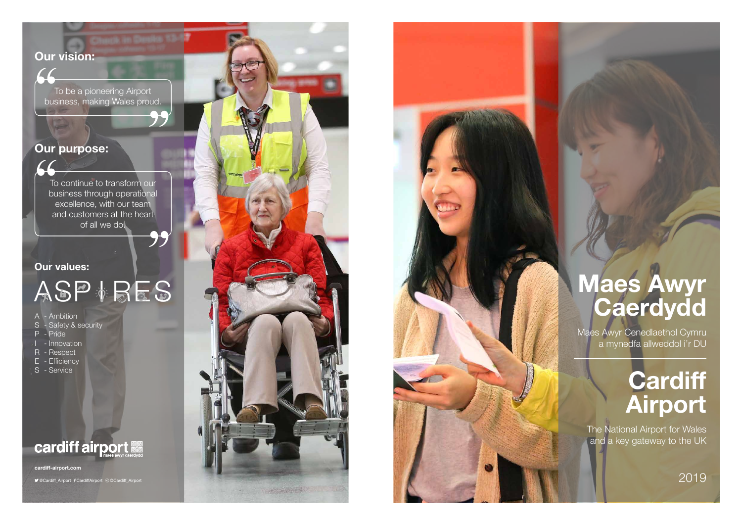**cardiff-airport.com**

@Cardiff\_Airport CardiffAirport @Cardiff\_Airport





# **Our vision:**

To be a pioneering Airport<br>"To be a pioneering Airport<br>"Dusiness, making Wales prot business, making Wales proud. t<br>ud.<br>**99** 

To continue to transform our business through operational excellence, with our team and customers at the heart of all we do.  $\left\{\begin{matrix} 1 \\ 1 \\ 0 \\ 0 \\ 0 \\ 0 \\ 0 \\ 0 \end{matrix}\right\}$ 

"

#### **Our purpose:**

## **Maes Awyr Caerdydd**

### **Our values:**

# ASP<br>
ASP<br>
A - Ambition<br>
S - Safety & security<br>
P - Pride<br>
I - Innovation<br>
R - Respect<br>
E - Efficiency<br>
S - Service

A - Ambition

S - Safety & security

- P Pride
- Innovation
- R Respect
- E Efficiency
- 

## **cardiff airport MANULES**

2019

# **Cardiff Airport**

The National Airport for Wales and a key gateway to the UK

Maes Awyr Cenedlaethol Cymru a mynedfa allweddol i'r DU